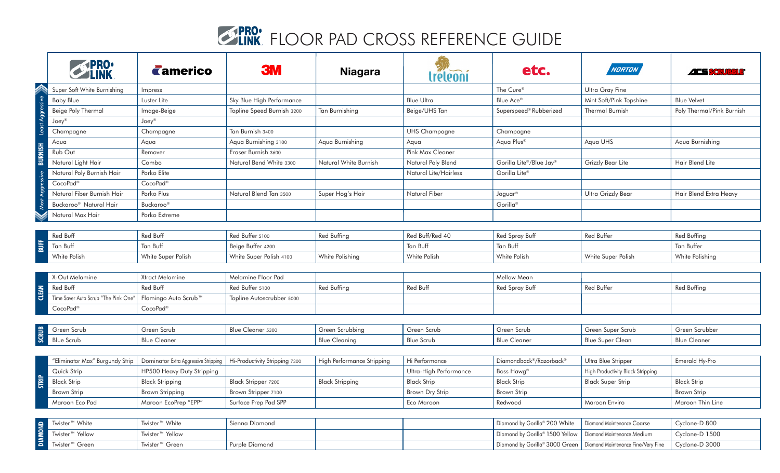## **SPRO:** FLOOR PAD CROSS REFERENCE GUIDE

|                  |                                      | <b>Camerico</b>                      | <b>3M</b>                      | <b>Niagara</b>             | tréleoni               | etc.                            | NORTON                                                            | ACS SCRUBBLE®             |
|------------------|--------------------------------------|--------------------------------------|--------------------------------|----------------------------|------------------------|---------------------------------|-------------------------------------------------------------------|---------------------------|
| Least Aggressive | Super Soft White Burnishing          | Impress                              |                                |                            |                        | The Cure®                       | Ultra Gray Fine                                                   |                           |
|                  | <b>Baby Blue</b>                     | Luster Lite                          | Sky Blue High Performance      |                            | <b>Blue Ultra</b>      | Blue Ace <sup>®</sup>           | Mint Soft/Pink Topshine                                           | <b>Blue Velvet</b>        |
|                  | Beige Poly Thermal                   | Image-Beige                          | Topline Speed Burnish 3200     | Tan Burnishing             | Beige/UHS Tan          | Superspeed® Rubberized          | <b>Thermal Burnish</b>                                            | Poly Thermal/Pink Burnish |
|                  | Joey <sup>®</sup>                    | $\mathsf{Joey}^\circledR$            |                                |                            |                        |                                 |                                                                   |                           |
|                  | Champagne                            | Champagne                            | Tan Burnish 3400               |                            | <b>UHS Champagne</b>   | Champagne                       |                                                                   |                           |
|                  | Aqua                                 | Aqua                                 | Aqua Burnishing 3100           | Aqua Burnishing            | Aqua                   | Aqua Plus®                      | Agua UHS                                                          | Aqua Burnishing           |
| <b>BURNISH</b>   | Rub Out                              | Remover                              | Eraser Burnish 3600            |                            | Pink Max Cleaner       |                                 |                                                                   |                           |
|                  | Natural Light Hair                   | Combo                                | Natural Bend White 3300        | Natural White Burnish      | Natural Poly Blend     | Gorilla Lite®/Blue Jay®         | Grizzly Bear Lite                                                 | Hair Blend Lite           |
|                  | Natural Poly Burnish Hair            | Porko Elite                          |                                |                            | Natural Lite/Hairless  | Gorilla Lite®                   |                                                                   |                           |
|                  | CocoPad®                             | CocoPad®                             |                                |                            |                        |                                 |                                                                   |                           |
| Most Aggressive  | Natural Fiber Burnish Hair           | Porko Plus                           | Natural Blend Tan 3500         | Super Hog's Hair           | Natural Fiber          | Jaguar®                         | Ultra Grizzly Bear                                                | Hair Blend Extra Heavy    |
|                  | Buckaroo <sup>®</sup> Natural Hair   | Buckaroo®                            |                                |                            |                        | Gorilla <sup>®</sup>            |                                                                   |                           |
|                  | Natural Max Hair                     | Porko Extreme                        |                                |                            |                        |                                 |                                                                   |                           |
|                  |                                      |                                      |                                |                            |                        |                                 |                                                                   |                           |
|                  | Red Buff                             | Red Buff                             | Red Buffer 5100                | Red Buffing                | Red Buff/Red 40        | Red Spray Buff                  | Red Buffer                                                        | Red Buffing               |
| BUFF             | Tan Buff                             | Tan Buff                             | Beige Buffer 4200              |                            | Tan Buff               | Tan Buff                        |                                                                   | Tan Buffer                |
|                  | White Polish                         | White Super Polish                   | White Super Polish 4100        | White Polishing            | White Polish           | White Polish                    | White Super Polish                                                | White Polishing           |
|                  |                                      |                                      |                                |                            |                        |                                 |                                                                   |                           |
|                  | X-Out Melamine                       | Xtract Melamine                      | Melamine Floor Pad             |                            |                        | Mellow Mean                     |                                                                   |                           |
| <b>CLEAN</b>     | Red Buff                             | Red Buff                             | Red Buffer 5100                | Red Buffing                | Red Buff               | <b>Red Spray Buff</b>           | Red Buffer                                                        | Red Buffing               |
|                  | Time Saver Auto Scrub "The Pink One' | Flamingo Auto Scrub <sup>™</sup>     | Topline Autoscrubber 5000      |                            |                        |                                 |                                                                   |                           |
|                  | CocoPad®                             | CocoPad®                             |                                |                            |                        |                                 |                                                                   |                           |
|                  |                                      |                                      |                                |                            |                        |                                 |                                                                   |                           |
|                  | Green Scrub                          | Green Scrub                          | Blue Cleaner 5300              | Green Scrubbing            | Green Scrub            | Green Scrub                     | Green Super Scrub                                                 | Green Scrubber            |
| SCRUB            | <b>Blue Scrub</b>                    | <b>Blue Cleaner</b>                  |                                | <b>Blue Cleaning</b>       | <b>Blue Scrub</b>      | <b>Blue Cleaner</b>             | <b>Blue Super Clean</b>                                           | <b>Blue Cleaner</b>       |
|                  |                                      |                                      |                                |                            |                        |                                 |                                                                   |                           |
| STRIP            | "Eliminator Max" Burgundy Strip      | Dominator Extra Aggressive Stripping | Hi-Productivity Stripping 7300 | High Performance Stripping | Hi Performance         | Diamondback®/Razorback®         | <b>Ultra Blue Stripper</b>                                        | Emerald Hy-Pro            |
|                  | Quick Strip                          | HP500 Heavy Duty Stripping           |                                |                            | Ultra-High Performance | Boss Hawg <sup>®</sup>          | High Productivity Black Stripping                                 |                           |
|                  | <b>Black Strip</b>                   | <b>Black Stripping</b>               | <b>Black Stripper 7200</b>     | <b>Black Stripping</b>     | <b>Black Strip</b>     | <b>Black Strip</b>              | <b>Black Super Strip</b>                                          | <b>Black Strip</b>        |
|                  | Brown Strip                          | <b>Brown Stripping</b>               | Brown Stripper 7100            |                            | Brown Dry Strip        | <b>Brown Strip</b>              |                                                                   | <b>Brown Strip</b>        |
|                  | Maroon Eco Pad                       | Maroon EcoPrep "EPP"                 | Surface Prep Pad SPP           |                            | Eco Maroon             | Redwood                         | Maroon Enviro                                                     | Maroon Thin Line          |
|                  |                                      |                                      |                                |                            |                        |                                 |                                                                   |                           |
|                  | Twister <sup>™</sup> White           | Twister <sup>™</sup> White           | Sienna Diamond                 |                            |                        | Diamond by Gorilla® 200 White   | Diamond Maintenance Coarse                                        | Cyclone-D 800             |
| <b>DIAMOND</b>   | Twister <sup>™</sup> Yellow          | Twister <sup>™</sup> Yellow          |                                |                            |                        | Diamond by Gorilla® 1500 Yellow | Diamond Maintenance Medium                                        | Cyclone-D 1500            |
|                  | Twister™ Green                       | Twister™ Green                       | Purple Diamond                 |                            |                        |                                 | Diamond by Gorilla® 3000 Green Diamond Maintenance Fine/Very Fine | $C$ vclone-D $3000$       |

Twister™ Green Nister™ Green Purple Diamond Nister™ Green Purple Diamond Purple Diamond Diamond Diamond by Gorilla® 3000 Green Diamond Maintenance Fine/Very Fine Cyclone-D 3000

۱ã